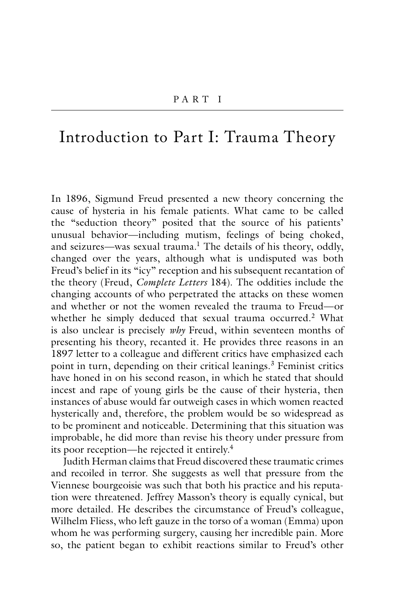## Introduction to Part I: Trauma Theory

In 1896, Sigmund Freud presented a new theory concerning the cause of hysteria in his female patients. What came to be called the "seduction theory" posited that the source of his patients' unusual behavior—including mutism, feelings of being choked, and seizures—was sexual trauma.<sup>1</sup> The details of his theory, oddly, changed over the years, although what is undisputed was both Freud's belief in its "icy" reception and his subsequent recantation of the theory (Freud, *Complete Letters* 184). The oddities include the changing accounts of who perpetrated the attacks on these women and whether or not the women revealed the trauma to Freud—or whether he simply deduced that sexual trauma occurred.<sup>2</sup> What is also unclear is precisely *why* Freud, within seventeen months of presenting his theory, recanted it. He provides three reasons in an 1897 letter to a colleague and different critics have emphasized each point in turn, depending on their critical leanings.<sup>3</sup> Feminist critics have honed in on his second reason, in which he stated that should incest and rape of young girls be the cause of their hysteria, then instances of abuse would far outweigh cases in which women reacted hysterically and, therefore, the problem would be so widespread as to be prominent and noticeable. Determining that this situation was improbable, he did more than revise his theory under pressure from its poor reception—he rejected it entirely.4

Judith Herman claims that Freud discovered these traumatic crimes and recoiled in terror. She suggests as well that pressure from the Viennese bourgeoisie was such that both his practice and his reputation were threatened. Jeffrey Masson's theory is equally cynical, but more detailed. He describes the circumstance of Freud's colleague, Wilhelm Fliess, who left gauze in the torso of a woman (Emma) upon whom he was performing surgery, causing her incredible pain. More so, the patient began to exhibit reactions similar to Freud's other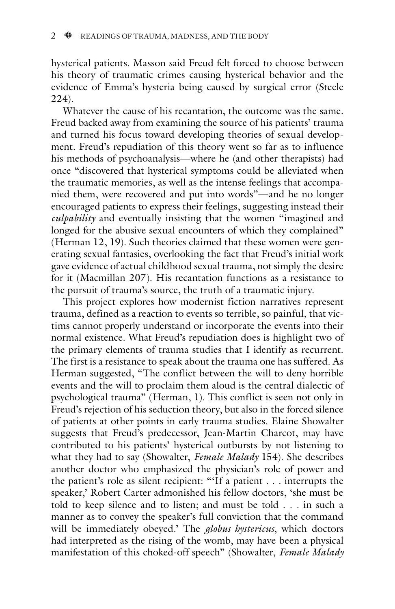hysterical patients. Masson said Freud felt forced to choose between his theory of traumatic crimes causing hysterical behavior and the evidence of Emma's hysteria being caused by surgical error (Steele 224).

Whatever the cause of his recantation, the outcome was the same. Freud backed away from examining the source of his patients' trauma and turned his focus toward developing theories of sexual development. Freud's repudiation of this theory went so far as to influence his methods of psychoanalysis—where he (and other therapists) had once "discovered that hysterical symptoms could be alleviated when the traumatic memories, as well as the intense feelings that accompanied them, were recovered and put into words"—and he no longer encouraged patients to express their feelings, suggesting instead their *culpability* and eventually insisting that the women "imagined and longed for the abusive sexual encounters of which they complained" (Herman 12, 19). Such theories claimed that these women were generating sexual fantasies, overlooking the fact that Freud's initial work gave evidence of actual childhood sexual trauma, not simply the desire for it (Macmillan 207). His recantation functions as a resistance to the pursuit of trauma's source, the truth of a traumatic injury.

This project explores how modernist fiction narratives represent trauma, defined as a reaction to events so terrible, so painful, that victims cannot properly understand or incorporate the events into their normal existence. What Freud's repudiation does is highlight two of the primary elements of trauma studies that I identify as recurrent. The first is a resistance to speak about the trauma one has suffered. As Herman suggested, "The conflict between the will to deny horrible events and the will to proclaim them aloud is the central dialectic of psychological trauma" (Herman, 1). This conflict is seen not only in Freud's rejection of his seduction theory, but also in the forced silence of patients at other points in early trauma studies. Elaine Showalter suggests that Freud's predecessor, Jean-Martin Charcot, may have contributed to his patients' hysterical outbursts by not listening to what they had to say (Showalter, *Female Malady* 154). She describes another doctor who emphasized the physician's role of power and the patient's role as silent recipient: "'If a patient . . . interrupts the speaker,' Robert Carter admonished his fellow doctors, 'she must be told to keep silence and to listen; and must be told . . . in such a manner as to convey the speaker's full conviction that the command will be immediately obeyed.' The *globus hystericus*, which doctors had interpreted as the rising of the womb, may have been a physical manifestation of this choked-off speech" (Showalter, *Female Malady*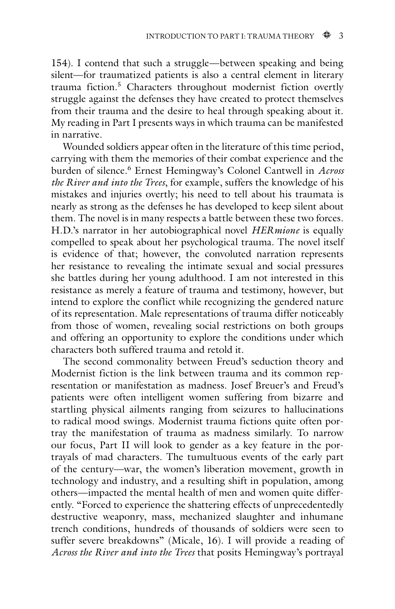154). I contend that such a struggle—between speaking and being silent—for traumatized patients is also a central element in literary trauma fiction.5 Characters throughout modernist fiction overtly struggle against the defenses they have created to protect themselves from their trauma and the desire to heal through speaking about it. My reading in Part I presents ways in which trauma can be manifested in narrative.

Wounded soldiers appear often in the literature of this time period, carrying with them the memories of their combat experience and the burden of silence.6 Ernest Hemingway's Colonel Cantwell in *Across the River and into the Trees*, for example, suffers the knowledge of his mistakes and injuries overtly; his need to tell about his traumata is nearly as strong as the defenses he has developed to keep silent about them. The novel is in many respects a battle between these two forces. H.D.'s narrator in her autobiographical novel *HERmione* is equally compelled to speak about her psychological trauma. The novel itself is evidence of that; however, the convoluted narration represents her resistance to revealing the intimate sexual and social pressures she battles during her young adulthood. I am not interested in this resistance as merely a feature of trauma and testimony, however, but intend to explore the conflict while recognizing the gendered nature of its representation. Male representations of trauma differ noticeably from those of women, revealing social restrictions on both groups and offering an opportunity to explore the conditions under which characters both suffered trauma and retold it.

The second commonality between Freud's seduction theory and Modernist fiction is the link between trauma and its common representation or manifestation as madness. Josef Breuer's and Freud's patients were often intelligent women suffering from bizarre and startling physical ailments ranging from seizures to hallucinations to radical mood swings. Modernist trauma fictions quite often portray the manifestation of trauma as madness similarly. To narrow our focus, Part II will look to gender as a key feature in the portrayals of mad characters. The tumultuous events of the early part of the century—war, the women's liberation movement, growth in technology and industry, and a resulting shift in population, among others—impacted the mental health of men and women quite differently. "Forced to experience the shattering effects of unprecedentedly destructive weaponry, mass, mechanized slaughter and inhumane trench conditions, hundreds of thousands of soldiers were seen to suffer severe breakdowns" (Micale, 16). I will provide a reading of *Across the River and into the Trees* that posits Hemingway's portrayal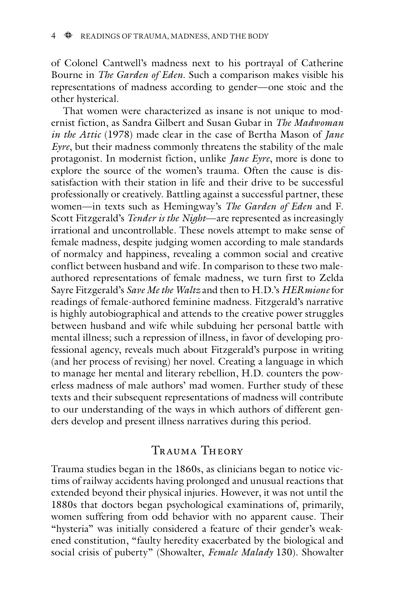of Colonel Cantwell's madness next to his portrayal of Catherine Bourne in *The Garden of Eden*. Such a comparison makes visible his representations of madness according to gender—one stoic and the other hysterical.

That women were characterized as insane is not unique to modernist fiction, as Sandra Gilbert and Susan Gubar in *The Madwoman in the Attic* (1978) made clear in the case of Bertha Mason of *Jane Eyre*, but their madness commonly threatens the stability of the male protagonist. In modernist fiction, unlike *Jane Eyre*, more is done to explore the source of the women's trauma. Often the cause is dissatisfaction with their station in life and their drive to be successful professionally or creatively. Battling against a successful partner, these women—in texts such as Hemingway's *The Garden of Eden* and F. Scott Fitzgerald's *Tender is the Night*—are represented as increasingly irrational and uncontrollable. These novels attempt to make sense of female madness, despite judging women according to male standards of normalcy and happiness, revealing a common social and creative conflict between husband and wife. In comparison to these two maleauthored representations of female madness, we turn first to Zelda Sayre Fitzgerald's *Save Me the Waltz* and then to H.D.'s *HERmione* for readings of female-authored feminine madness. Fitzgerald's narrative is highly autobiographical and attends to the creative power struggles between husband and wife while subduing her personal battle with mental illness; such a repression of illness, in favor of developing professional agency, reveals much about Fitzgerald's purpose in writing (and her process of revising) her novel. Creating a language in which to manage her mental and literary rebellion, H.D. counters the powerless madness of male authors' mad women. Further study of these texts and their subsequent representations of madness will contribute to our understanding of the ways in which authors of different genders develop and present illness narratives during this period.

## Trauma Theory

Trauma studies began in the 1860s, as clinicians began to notice victims of railway accidents having prolonged and unusual reactions that extended beyond their physical injuries. However, it was not until the 1880s that doctors began psychological examinations of, primarily, women suffering from odd behavior with no apparent cause. Their "hysteria" was initially considered a feature of their gender's weakened constitution, "faulty heredity exacerbated by the biological and social crisis of puberty" (Showalter, *Female Malady* 130). Showalter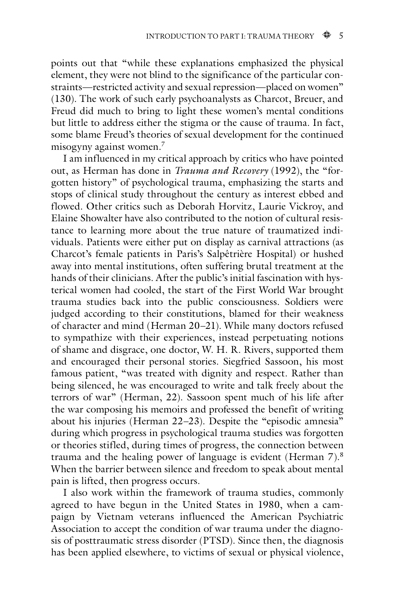points out that "while these explanations emphasized the physical element, they were not blind to the significance of the particular constraints—restricted activity and sexual repression—placed on women" (130). The work of such early psychoanalysts as Charcot, Breuer, and Freud did much to bring to light these women's mental conditions but little to address either the stigma or the cause of trauma. In fact, some blame Freud's theories of sexual development for the continued misogyny against women.7

I am influenced in my critical approach by critics who have pointed out, as Herman has done in *Trauma and Recovery* (1992), the "forgotten history" of psychological trauma, emphasizing the starts and stops of clinical study throughout the century as interest ebbed and flowed. Other critics such as Deborah Horvitz, Laurie Vickroy, and Elaine Showalter have also contributed to the notion of cultural resistance to learning more about the true nature of traumatized individuals. Patients were either put on display as carnival attractions (as Charcot's female patients in Paris's Salpêtrière Hospital) or hushed away into mental institutions, often suffering brutal treatment at the hands of their clinicians. After the public's initial fascination with hysterical women had cooled, the start of the First World War brought trauma studies back into the public consciousness. Soldiers were judged according to their constitutions, blamed for their weakness of character and mind (Herman 20–21). While many doctors refused to sympathize with their experiences, instead perpetuating notions of shame and disgrace, one doctor, W. H. R. Rivers, supported them and encouraged their personal stories. Siegfried Sassoon, his most famous patient, "was treated with dignity and respect. Rather than being silenced, he was encouraged to write and talk freely about the terrors of war" (Herman, 22). Sassoon spent much of his life after the war composing his memoirs and professed the benefit of writing about his injuries (Herman 22–23). Despite the "episodic amnesia" during which progress in psychological trauma studies was forgotten or theories stifled, during times of progress, the connection between trauma and the healing power of language is evident (Herman 7).<sup>8</sup> When the barrier between silence and freedom to speak about mental pain is lifted, then progress occurs.

I also work within the framework of trauma studies, commonly agreed to have begun in the United States in 1980, when a campaign by Vietnam veterans influenced the American Psychiatric Association to accept the condition of war trauma under the diagnosis of posttraumatic stress disorder (PTSD). Since then, the diagnosis has been applied elsewhere, to victims of sexual or physical violence,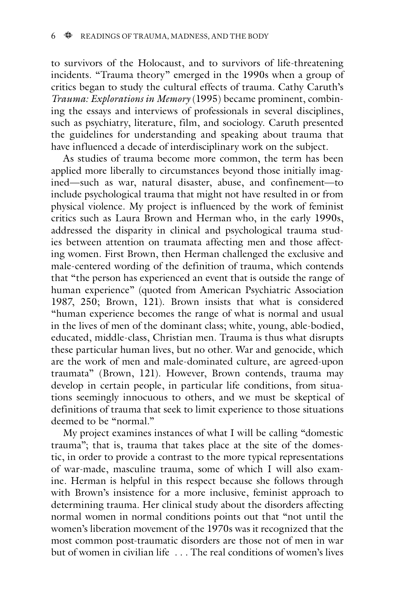to survivors of the Holocaust, and to survivors of life-threatening incidents. "Trauma theory" emerged in the 1990s when a group of critics began to study the cultural effects of trauma. Cathy Caruth's *Trauma: Explorations in Memory* (1995) became prominent, combining the essays and interviews of professionals in several disciplines, such as psychiatry, literature, film, and sociology. Caruth presented the guidelines for understanding and speaking about trauma that have influenced a decade of interdisciplinary work on the subject.

As studies of trauma become more common, the term has been applied more liberally to circumstances beyond those initially imagined—such as war, natural disaster, abuse, and confinement—to include psychological trauma that might not have resulted in or from physical violence. My project is influenced by the work of feminist critics such as Laura Brown and Herman who, in the early 1990s, addressed the disparity in clinical and psychological trauma studies between attention on traumata affecting men and those affecting women. First Brown, then Herman challenged the exclusive and male-centered wording of the definition of trauma, which contends that "the person has experienced an event that is outside the range of human experience" (quoted from American Psychiatric Association 1987, 250; Brown, 121). Brown insists that what is considered "human experience becomes the range of what is normal and usual in the lives of men of the dominant class; white, young, able-bodied, educated, middle-class, Christian men. Trauma is thus what disrupts these particular human lives, but no other. War and genocide, which are the work of men and male-dominated culture, are agreed-upon traumata" (Brown, 121). However, Brown contends, trauma may develop in certain people, in particular life conditions, from situations seemingly innocuous to others, and we must be skeptical of definitions of trauma that seek to limit experience to those situations deemed to be "normal."

My project examines instances of what I will be calling "domestic trauma"; that is, trauma that takes place at the site of the domestic, in order to provide a contrast to the more typical representations of war-made, masculine trauma, some of which I will also examine. Herman is helpful in this respect because she follows through with Brown's insistence for a more inclusive, feminist approach to determining trauma. Her clinical study about the disorders affecting normal women in normal conditions points out that "not until the women's liberation movement of the 1970s was it recognized that the most common post-traumatic disorders are those not of men in war but of women in civilian life . . . The real conditions of women's lives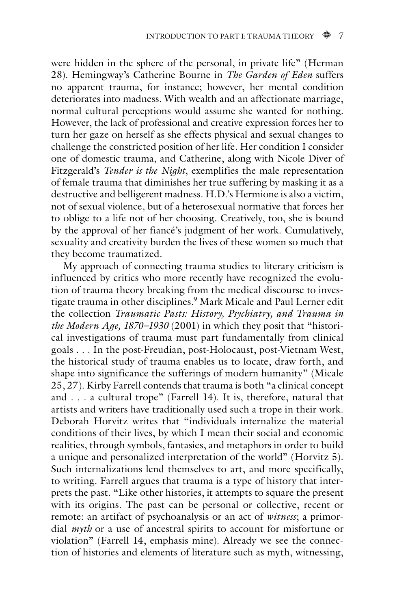were hidden in the sphere of the personal, in private life" (Herman 28). Hemingway's Catherine Bourne in *The Garden of Eden* suffers no apparent trauma, for instance; however, her mental condition deteriorates into madness. With wealth and an affectionate marriage, normal cultural perceptions would assume she wanted for nothing. However, the lack of professional and creative expression forces her to turn her gaze on herself as she effects physical and sexual changes to challenge the constricted position of her life. Her condition I consider one of domestic trauma, and Catherine, along with Nicole Diver of Fitzgerald's *Tender is the Night*, exemplifies the male representation of female trauma that diminishes her true suffering by masking it as a destructive and belligerent madness. H.D.'s Hermione is also a victim, not of sexual violence, but of a heterosexual normative that forces her to oblige to a life not of her choosing. Creatively, too, she is bound by the approval of her fiancé's judgment of her work. Cumulatively, sexuality and creativity burden the lives of these women so much that they become traumatized.

My approach of connecting trauma studies to literary criticism is influenced by critics who more recently have recognized the evolution of trauma theory breaking from the medical discourse to investigate trauma in other disciplines.9 Mark Micale and Paul Lerner edit the collection *Traumatic Pasts: History, Psychiatry, and Trauma in the Modern Age, 1870–1930* (2001) in which they posit that "historical investigations of trauma must part fundamentally from clinical goals . . . In the post-Freudian, post-Holocaust, post-Vietnam West, the historical study of trauma enables us to locate, draw forth, and shape into significance the sufferings of modern humanity" (Micale 25, 27). Kirby Farrell contends that trauma is both "a clinical concept and . . . a cultural trope" (Farrell 14). It is, therefore, natural that artists and writers have traditionally used such a trope in their work. Deborah Horvitz writes that "individuals internalize the material conditions of their lives, by which I mean their social and economic realities, through symbols, fantasies, and metaphors in order to build a unique and personalized interpretation of the world" (Horvitz 5). Such internalizations lend themselves to art, and more specifically, to writing. Farrell argues that trauma is a type of history that interprets the past. "Like other histories, it attempts to square the present with its origins. The past can be personal or collective, recent or remote: an artifact of psychoanalysis or an act of *witness*; a primordial *myth* or a use of ancestral spirits to account for misfortune or violation" (Farrell 14, emphasis mine). Already we see the connection of histories and elements of literature such as myth, witnessing,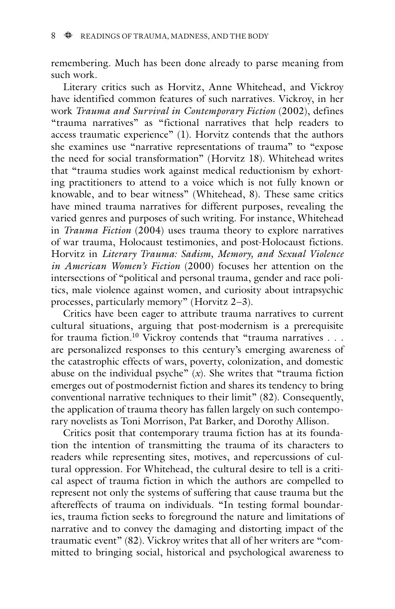remembering. Much has been done already to parse meaning from such work.

Literary critics such as Horvitz, Anne Whitehead, and Vickroy have identified common features of such narratives. Vickroy, in her work *Trauma and Survival in Contemporary Fiction* (2002), defines "trauma narratives" as "fictional narratives that help readers to access traumatic experience" (1). Horvitz contends that the authors she examines use "narrative representations of trauma" to "expose the need for social transformation" (Horvitz 18). Whitehead writes that "trauma studies work against medical reductionism by exhorting practitioners to attend to a voice which is not fully known or knowable, and to bear witness" (Whitehead, 8). These same critics have mined trauma narratives for different purposes, revealing the varied genres and purposes of such writing. For instance, Whitehead in *Trauma Fiction* (2004) uses trauma theory to explore narratives of war trauma, Holocaust testimonies, and post-Holocaust fictions. Horvitz in *Literary Trauma: Sadism, Memory, and Sexual Violence in American Women's Fiction* (2000) focuses her attention on the intersections of "political and personal trauma, gender and race politics, male violence against women, and curiosity about intrapsychic processes, particularly memory" (Horvitz 2–3).

Critics have been eager to attribute trauma narratives to current cultural situations, arguing that post-modernism is a prerequisite for trauma fiction.<sup>10</sup> Vickroy contends that "trauma narratives . . . are personalized responses to this century's emerging awareness of the catastrophic effects of wars, poverty, colonization, and domestic abuse on the individual psyche"  $(x)$ . She writes that "trauma fiction" emerges out of postmodernist fiction and shares its tendency to bring conventional narrative techniques to their limit" (82). Consequently, the application of trauma theory has fallen largely on such contemporary novelists as Toni Morrison, Pat Barker, and Dorothy Allison.

Critics posit that contemporary trauma fiction has at its foundation the intention of transmitting the trauma of its characters to readers while representing sites, motives, and repercussions of cultural oppression. For Whitehead, the cultural desire to tell is a critical aspect of trauma fiction in which the authors are compelled to represent not only the systems of suffering that cause trauma but the aftereffects of trauma on individuals. "In testing formal boundaries, trauma fiction seeks to foreground the nature and limitations of narrative and to convey the damaging and distorting impact of the traumatic event" (82). Vickroy writes that all of her writers are "committed to bringing social, historical and psychological awareness to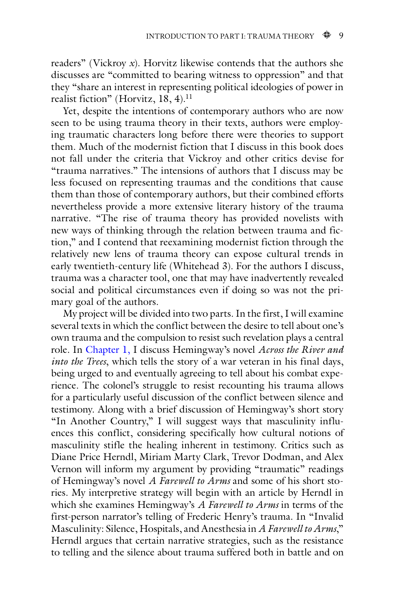readers" (Vickroy *x*). Horvitz likewise contends that the authors she discusses are "committed to bearing witness to oppression" and that they "share an interest in representing political ideologies of power in realist fiction" (Horvitz,  $18, 4$ ).<sup>11</sup>

Yet, despite the intentions of contemporary authors who are now seen to be using trauma theory in their texts, authors were employing traumatic characters long before there were theories to support them. Much of the modernist fiction that I discuss in this book does not fall under the criteria that Vickroy and other critics devise for "trauma narratives." The intensions of authors that I discuss may be less focused on representing traumas and the conditions that cause them than those of contemporary authors, but their combined efforts nevertheless provide a more extensive literary history of the trauma narrative. "The rise of trauma theory has provided novelists with new ways of thinking through the relation between trauma and fiction," and I contend that reexamining modernist fiction through the relatively new lens of trauma theory can expose cultural trends in early twentieth-century life (Whitehead 3). For the authors I discuss, trauma was a character tool, one that may have inadvertently revealed social and political circumstances even if doing so was not the primary goal of the authors.

My project will be divided into two parts. In the first, I will examine several texts in which the conflict between the desire to tell about one's own trauma and the compulsion to resist such revelation plays a central role. In Chapter 1, I discuss Hemingway's novel *Across the River and into the Trees*, which tells the story of a war veteran in his final days, being urged to and eventually agreeing to tell about his combat experience. The colonel's struggle to resist recounting his trauma allows for a particularly useful discussion of the conflict between silence and testimony. Along with a brief discussion of Hemingway's short story "In Another Country," I will suggest ways that masculinity influences this conflict, considering specifically how cultural notions of masculinity stifle the healing inherent in testimony. Critics such as Diane Price Herndl, Miriam Marty Clark, Trevor Dodman, and Alex Vernon will inform my argument by providing "traumatic" readings of Hemingway's novel *A Farewell to Arms* and some of his short stories. My interpretive strategy will begin with an article by Herndl in which she examines Hemingway's *A Farewell to Arms* in terms of the first-person narrator's telling of Frederic Henry's trauma. In "Invalid Masculinity: Silence, Hospitals, and Anesthesia in *A Farewell to Arms*," Herndl argues that certain narrative strategies, such as the resistance to telling and the silence about trauma suffered both in battle and on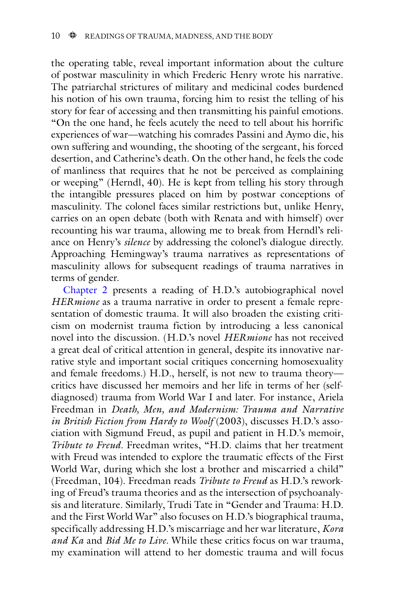the operating table, reveal important information about the culture of postwar masculinity in which Frederic Henry wrote his narrative. The patriarchal strictures of military and medicinal codes burdened his notion of his own trauma, forcing him to resist the telling of his story for fear of accessing and then transmitting his painful emotions. "On the one hand, he feels acutely the need to tell about his horrific experiences of war—watching his comrades Passini and Aymo die, his own suffering and wounding, the shooting of the sergeant, his forced desertion, and Catherine's death. On the other hand, he feels the code of manliness that requires that he not be perceived as complaining or weeping" (Herndl, 40). He is kept from telling his story through the intangible pressures placed on him by postwar conceptions of masculinity. The colonel faces similar restrictions but, unlike Henry, carries on an open debate (both with Renata and with himself) over recounting his war trauma, allowing me to break from Herndl's reliance on Henry's *silence* by addressing the colonel's dialogue directly. Approaching Hemingway's trauma narratives as representations of masculinity allows for subsequent readings of trauma narratives in terms of gender.

Chapter 2 presents a reading of H.D.'s autobiographical novel *HERmione* as a trauma narrative in order to present a female representation of domestic trauma. It will also broaden the existing criticism on modernist trauma fiction by introducing a less canonical novel into the discussion. (H.D.'s novel *HERmione* has not received a great deal of critical attention in general, despite its innovative narrative style and important social critiques concerning homosexuality and female freedoms.) H.D., herself, is not new to trauma theory critics have discussed her memoirs and her life in terms of her (selfdiagnosed) trauma from World War I and later. For instance, Ariela Freedman in *Death, Men, and Modernism: Trauma and Narrative in British Fiction from Hardy to Woolf* (2003), discusses H.D.'s association with Sigmund Freud, as pupil and patient in H.D.'s memoir, *Tribute to Freud*. Freedman writes, "H.D. claims that her treatment with Freud was intended to explore the traumatic effects of the First World War, during which she lost a brother and miscarried a child" (Freedman, 104). Freedman reads *Tribute to Freud* as H.D.'s reworking of Freud's trauma theories and as the intersection of psychoanalysis and literature. Similarly, Trudi Tate in "Gender and Trauma: H.D. and the First World War" also focuses on H.D.'s biographical trauma, specifically addressing H.D.'s miscarriage and her war literature, *Kora and Ka* and *Bid Me to Live*. While these critics focus on war trauma, my examination will attend to her domestic trauma and will focus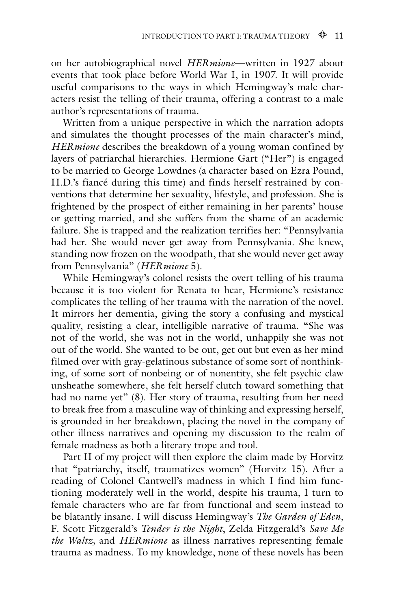on her autobiographical novel *HERmione*—written in 1927 about events that took place before World War I, in 1907. It will provide useful comparisons to the ways in which Hemingway's male characters resist the telling of their trauma, offering a contrast to a male author's representations of trauma.

Written from a unique perspective in which the narration adopts and simulates the thought processes of the main character's mind, *HERmione* describes the breakdown of a young woman confined by layers of patriarchal hierarchies. Hermione Gart ("Her") is engaged to be married to George Lowdnes (a character based on Ezra Pound, H.D.'s fiancé during this time) and finds herself restrained by conventions that determine her sexuality, lifestyle, and profession. She is frightened by the prospect of either remaining in her parents' house or getting married, and she suffers from the shame of an academic failure. She is trapped and the realization terrifies her: "Pennsylvania had her. She would never get away from Pennsylvania. She knew, standing now frozen on the woodpath, that she would never get away from Pennsylvania" (*HERmione* 5).

While Hemingway's colonel resists the overt telling of his trauma because it is too violent for Renata to hear, Hermione's resistance complicates the telling of her trauma with the narration of the novel. It mirrors her dementia, giving the story a confusing and mystical quality, resisting a clear, intelligible narrative of trauma. "She was not of the world, she was not in the world, unhappily she was not out of the world. She wanted to be out, get out but even as her mind filmed over with gray-gelatinous substance of some sort of nonthinking, of some sort of nonbeing or of nonentity, she felt psychic claw unsheathe somewhere, she felt herself clutch toward something that had no name yet" (8). Her story of trauma, resulting from her need to break free from a masculine way of thinking and expressing herself, is grounded in her breakdown, placing the novel in the company of other illness narratives and opening my discussion to the realm of female madness as both a literary trope and tool.

Part II of my project will then explore the claim made by Horvitz that "patriarchy, itself, traumatizes women" (Horvitz 15). After a reading of Colonel Cantwell's madness in which I find him functioning moderately well in the world, despite his trauma, I turn to female characters who are far from functional and seem instead to be blatantly insane. I will discuss Hemingway's *The Garden of Eden*, F. Scott Fitzgerald's *Tender is the Night*, Zelda Fitzgerald's *Save Me the Waltz,* and *HERmione* as illness narratives representing female trauma as madness. To my knowledge, none of these novels has been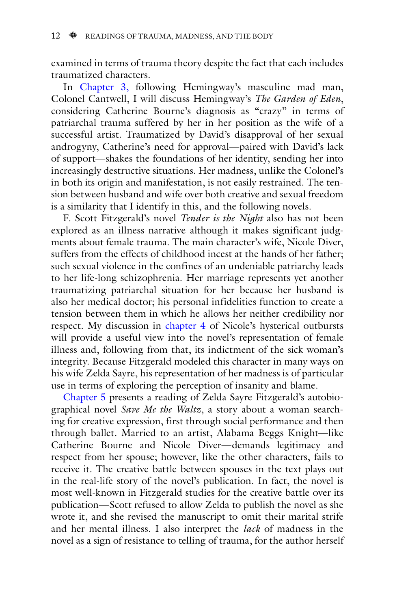examined in terms of trauma theory despite the fact that each includes traumatized characters.

In Chapter 3, following Hemingway's masculine mad man, Colonel Cantwell, I will discuss Hemingway's *The Garden of Eden*, considering Catherine Bourne's diagnosis as "crazy" in terms of patriarchal trauma suffered by her in her position as the wife of a successful artist. Traumatized by David's disapproval of her sexual androgyny, Catherine's need for approval—paired with David's lack of support—shakes the foundations of her identity, sending her into increasingly destructive situations. Her madness, unlike the Colonel's in both its origin and manifestation, is not easily restrained. The tension between husband and wife over both creative and sexual freedom is a similarity that I identify in this, and the following novels.

F. Scott Fitzgerald's novel *Tender is the Night* also has not been explored as an illness narrative although it makes significant judgments about female trauma. The main character's wife, Nicole Diver, suffers from the effects of childhood incest at the hands of her father; such sexual violence in the confines of an undeniable patriarchy leads to her life-long schizophrenia. Her marriage represents yet another traumatizing patriarchal situation for her because her husband is also her medical doctor; his personal infidelities function to create a tension between them in which he allows her neither credibility nor respect. My discussion in chapter 4 of Nicole's hysterical outbursts will provide a useful view into the novel's representation of female illness and, following from that, its indictment of the sick woman's integrity. Because Fitzgerald modeled this character in many ways on his wife Zelda Sayre, his representation of her madness is of particular use in terms of exploring the perception of insanity and blame.

Chapter 5 presents a reading of Zelda Sayre Fitzgerald's autobiographical novel *Save Me the Waltz*, a story about a woman searching for creative expression, first through social performance and then through ballet. Married to an artist, Alabama Beggs Knight—like Catherine Bourne and Nicole Diver—demands legitimacy and respect from her spouse; however, like the other characters, fails to receive it. The creative battle between spouses in the text plays out in the real-life story of the novel's publication. In fact, the novel is most well-known in Fitzgerald studies for the creative battle over its publication—Scott refused to allow Zelda to publish the novel as she wrote it, and she revised the manuscript to omit their marital strife and her mental illness. I also interpret the *lack* of madness in the novel as a sign of resistance to telling of trauma, for the author herself